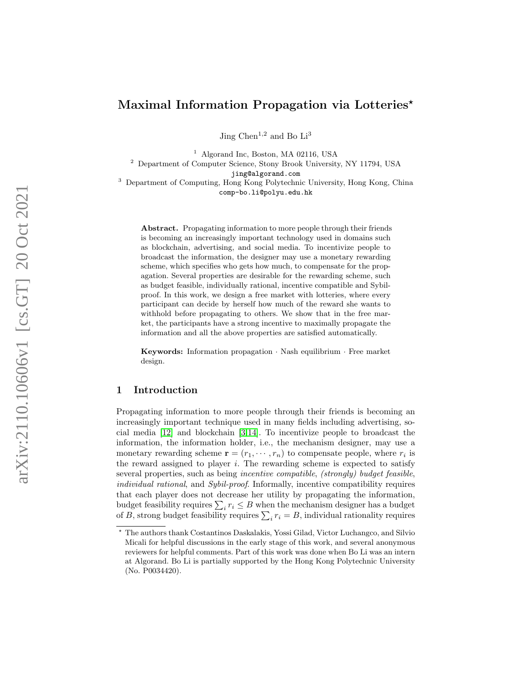# Maximal Information Propagation via Lotteries\*

Jing Chen<sup>1,2</sup> and Bo  $Li<sup>3</sup>$ 

 $^{\rm 1}$  Algorand Inc, Boston, MA 02116, USA

<sup>2</sup> Department of Computer Science, Stony Brook University, NY 11794, USA

jing@algorand.com

<sup>3</sup> Department of Computing, Hong Kong Polytechnic University, Hong Kong, China comp-bo.li@polyu.edu.hk

Abstract. Propagating information to more people through their friends is becoming an increasingly important technology used in domains such as blockchain, advertising, and social media. To incentivize people to broadcast the information, the designer may use a monetary rewarding scheme, which specifies who gets how much, to compensate for the propagation. Several properties are desirable for the rewarding scheme, such as budget feasible, individually rational, incentive compatible and Sybilproof. In this work, we design a free market with lotteries, where every participant can decide by herself how much of the reward she wants to withhold before propagating to others. We show that in the free market, the participants have a strong incentive to maximally propagate the information and all the above properties are satisfied automatically.

Keywords: Information propagation · Nash equilibrium · Free market design.

# 1 Introduction

Propagating information to more people through their friends is becoming an increasingly important technique used in many fields including advertising, social media [\[12\]](#page-20-0) and blockchain [\[3,](#page-20-1)[14\]](#page-20-2). To incentivize people to broadcast the information, the information holder, i.e., the mechanism designer, may use a monetary rewarding scheme  $\mathbf{r} = (r_1, \dots, r_n)$  to compensate people, where  $r_i$  is the reward assigned to player i. The rewarding scheme is expected to satisfy several properties, such as being *incentive compatible*, *(strongly)* budget feasible, individual rational, and Sybil-proof. Informally, incentive compatibility requires that each player does not decrease her utility by propagating the information, budget feasibility requires  $\sum_i r_i \leq B$  when the mechanism designer has a budget of B, strong budget feasibility requires  $\sum_i r_i = B$ , individual rationality requires

<sup>?</sup> The authors thank Costantinos Daskalakis, Yossi Gilad, Victor Luchangco, and Silvio Micali for helpful discussions in the early stage of this work, and several anonymous reviewers for helpful comments. Part of this work was done when Bo Li was an intern at Algorand. Bo Li is partially supported by the Hong Kong Polytechnic University (No. P0034420).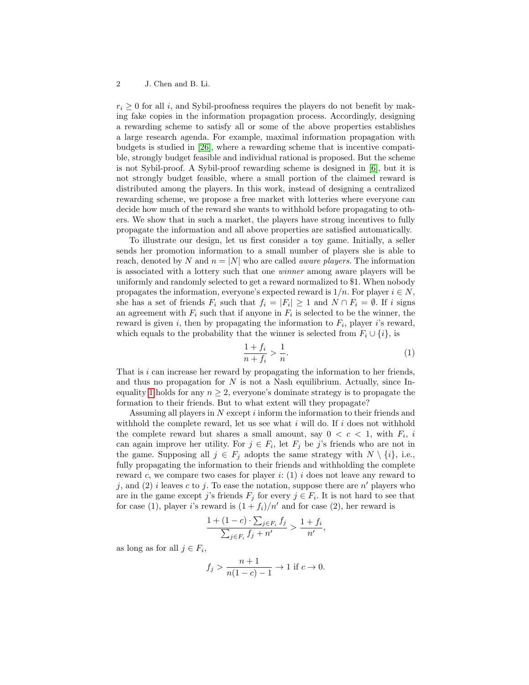$r_i \geq 0$  for all i, and Sybil-proofness requires the players do not benefit by making fake copies in the information propagation process. Accordingly, designing a rewarding scheme to satisfy all or some of the above properties establishes a large research agenda. For example, maximal information propagation with budgets is studied in [\[26\]](#page-21-0), where a rewarding scheme that is incentive compatible, strongly budget feasible and individual rational is proposed. But the scheme is not Sybil-proof. A Sybil-proof rewarding scheme is designed in [\[6\]](#page-20-3), but it is not strongly budget feasible, where a small portion of the claimed reward is distributed among the players. In this work, instead of designing a centralized rewarding scheme, we propose a free market with lotteries where everyone can decide how much of the reward she wants to withhold before propagating to others. We show that in such a market, the players have strong incentives to fully propagate the information and all above properties are satisfied automatically.

To illustrate our design, let us first consider a toy game. Initially, a seller sends her promotion information to a small number of players she is able to reach, denoted by N and  $n = |N|$  who are called *aware players*. The information is associated with a lottery such that one winner among aware players will be uniformly and randomly selected to get a reward normalized to \$1. When nobody propagates the information, everyone's expected reward is  $1/n$ . For player  $i \in N$ , she has a set of friends  $F_i$  such that  $f_i = |F_i| \geq 1$  and  $N \cap F_i = \emptyset$ . If i signs an agreement with  $F_i$  such that if anyone in  $F_i$  is selected to be the winner, the reward is given i, then by propagating the information to  $F_i$ , player i's reward, which equals to the probability that the winner is selected from  $F_i \cup \{i\}$ , is

<span id="page-1-0"></span>
$$
\frac{1+f_i}{n+f_i} > \frac{1}{n}.\tag{1}
$$

That is  $i$  can increase her reward by propagating the information to her friends, and thus no propagation for  $N$  is not a Nash equilibrium. Actually, since In-equality [1](#page-1-0) holds for any  $n \geq 2$ , everyone's dominate strategy is to propagate the formation to their friends. But to what extent will they propagate?

Assuming all players in  $N$  except  $i$  inform the information to their friends and withhold the complete reward, let us see what  $i$  will do. If  $i$  does not withhold the complete reward but shares a small amount, say  $0 < c < 1$ , with  $F_i$ , i can again improve her utility. For  $j \in F_i$ , let  $F_j$  be j's friends who are not in the game. Supposing all  $j \in F_j$  adopts the same strategy with  $N \setminus \{i\}$ , i.e., fully propagating the information to their friends and withholding the complete reward c, we compare two cases for player i: (1) i does not leave any reward to j, and (2) i leaves c to j. To ease the notation, suppose there are  $n'$  players who are in the game except j's friends  $F_j$  for every  $j \in F_i$ . It is not hard to see that for case (1), player i's reward is  $(1 + f_i)/n'$  and for case (2), her reward is

$$
\frac{1 + (1 - c) \cdot \sum_{j \in F_i} f_j}{\sum_{j \in F_i} f_j + n'} > \frac{1 + f_i}{n'},
$$

as long as for all  $j \in F_i$ ,

$$
f_j > \frac{n+1}{n(1-c)-1} \to 1
$$
 if  $c \to 0$ .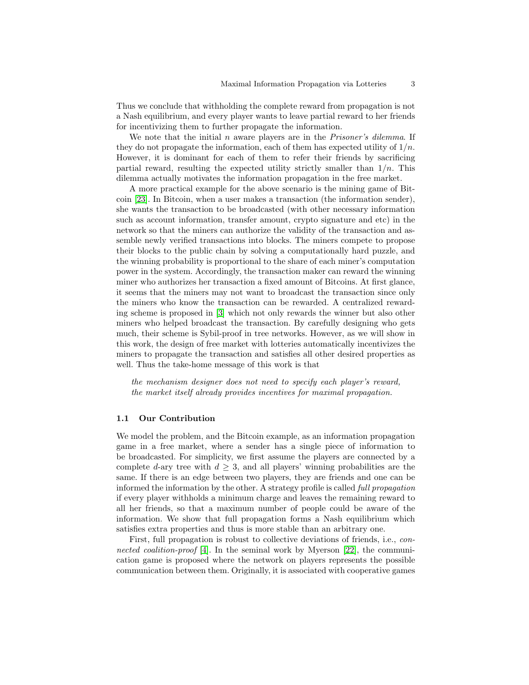Thus we conclude that withholding the complete reward from propagation is not a Nash equilibrium, and every player wants to leave partial reward to her friends for incentivizing them to further propagate the information.

We note that the initial  $n$  aware players are in the *Prisoner's dilemma*. If they do not propagate the information, each of them has expected utility of  $1/n$ . However, it is dominant for each of them to refer their friends by sacrificing partial reward, resulting the expected utility strictly smaller than  $1/n$ . This dilemma actually motivates the information propagation in the free market.

A more practical example for the above scenario is the mining game of Bitcoin [\[23\]](#page-21-1). In Bitcoin, when a user makes a transaction (the information sender), she wants the transaction to be broadcasted (with other necessary information such as account information, transfer amount, crypto signature and etc) in the network so that the miners can authorize the validity of the transaction and assemble newly verified transactions into blocks. The miners compete to propose their blocks to the public chain by solving a computationally hard puzzle, and the winning probability is proportional to the share of each miner's computation power in the system. Accordingly, the transaction maker can reward the winning miner who authorizes her transaction a fixed amount of Bitcoins. At first glance, it seems that the miners may not want to broadcast the transaction since only the miners who know the transaction can be rewarded. A centralized rewarding scheme is proposed in [\[3\]](#page-20-1) which not only rewards the winner but also other miners who helped broadcast the transaction. By carefully designing who gets much, their scheme is Sybil-proof in tree networks. However, as we will show in this work, the design of free market with lotteries automatically incentivizes the miners to propagate the transaction and satisfies all other desired properties as well. Thus the take-home message of this work is that

the mechanism designer does not need to specify each player's reward, the market itself already provides incentives for maximal propagation.

#### 1.1 Our Contribution

We model the problem, and the Bitcoin example, as an information propagation game in a free market, where a sender has a single piece of information to be broadcasted. For simplicity, we first assume the players are connected by a complete d-ary tree with  $d \geq 3$ , and all players' winning probabilities are the same. If there is an edge between two players, they are friends and one can be informed the information by the other. A strategy profile is called full propagation if every player withholds a minimum charge and leaves the remaining reward to all her friends, so that a maximum number of people could be aware of the information. We show that full propagation forms a Nash equilibrium which satisfies extra properties and thus is more stable than an arbitrary one.

First, full propagation is robust to collective deviations of friends, i.e., con-nected coalition-proof [\[4\]](#page-20-4). In the seminal work by Myerson [\[22\]](#page-20-5), the communication game is proposed where the network on players represents the possible communication between them. Originally, it is associated with cooperative games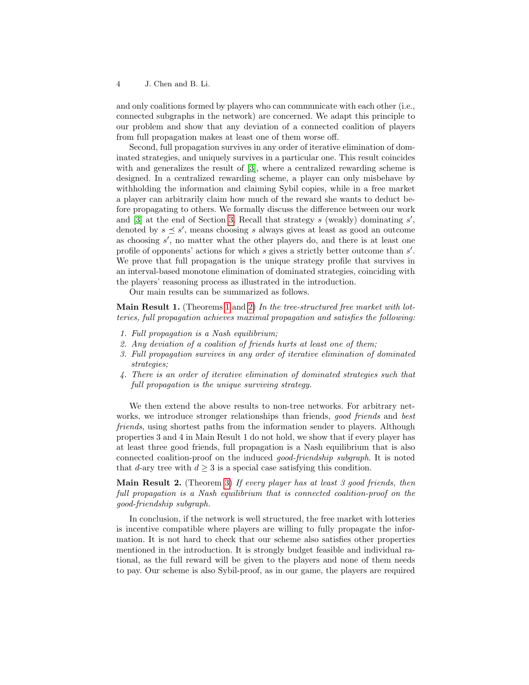and only coalitions formed by players who can communicate with each other (i.e., connected subgraphs in the network) are concerned. We adapt this principle to our problem and show that any deviation of a connected coalition of players from full propagation makes at least one of them worse off.

Second, full propagation survives in any order of iterative elimination of dominated strategies, and uniquely survives in a particular one. This result coincides with and generalizes the result of [\[3\]](#page-20-1), where a centralized rewarding scheme is designed. In a centralized rewarding scheme, a player can only misbehave by withholding the information and claiming Sybil copies, while in a free market a player can arbitrarily claim how much of the reward she wants to deduct before propagating to others. We formally discuss the difference between our work and  $[3]$  at the end of Section [3.](#page-6-0) Recall that strategy s (weakly) dominating  $s'$ , denoted by  $s \leq s'$ , means choosing s always gives at least as good an outcome as choosing  $s'$ , no matter what the other players do, and there is at least one profile of opponents' actions for which  $s$  gives a strictly better outcome than  $s'$ . We prove that full propagation is the unique strategy profile that survives in an interval-based monotone elimination of dominated strategies, coinciding with the players' reasoning process as illustrated in the introduction.

Our main results can be summarized as follows.

**Main Result [1](#page-11-0).** (Theorems 1 and [2\)](#page-12-0) In the tree-structured free market with lotteries, full propagation achieves maximal propagation and satisfies the following:

- 1. Full propagation is a Nash equilibrium;
- 2. Any deviation of a coalition of friends hurts at least one of them;
- 3. Full propagation survives in any order of iterative elimination of dominated strategies;
- 4. There is an order of iterative elimination of dominated strategies such that full propagation is the unique surviving strategy.

We then extend the above results to non-tree networks. For arbitrary networks, we introduce stronger relationships than friends, good friends and best friends, using shortest paths from the information sender to players. Although properties 3 and 4 in Main Result 1 do not hold, we show that if every player has at least three good friends, full propagation is a Nash equilibrium that is also connected coalition-proof on the induced good-friendship subgraph. It is noted that d-ary tree with  $d \geq 3$  is a special case satisfying this condition.

**Main Result 2.** (Theorem [3\)](#page-14-0) If every player has at least 3 good friends, then full propagation is a Nash equilibrium that is connected coalition-proof on the good-friendship subgraph.

In conclusion, if the network is well structured, the free market with lotteries is incentive compatible where players are willing to fully propagate the information. It is not hard to check that our scheme also satisfies other properties mentioned in the introduction. It is strongly budget feasible and individual rational, as the full reward will be given to the players and none of them needs to pay. Our scheme is also Sybil-proof, as in our game, the players are required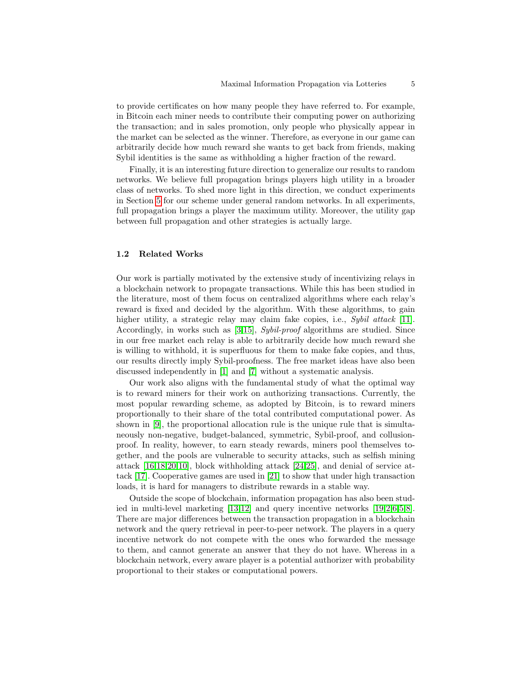to provide certificates on how many people they have referred to. For example, in Bitcoin each miner needs to contribute their computing power on authorizing the transaction; and in sales promotion, only people who physically appear in the market can be selected as the winner. Therefore, as everyone in our game can arbitrarily decide how much reward she wants to get back from friends, making Sybil identities is the same as withholding a higher fraction of the reward.

Finally, it is an interesting future direction to generalize our results to random networks. We believe full propagation brings players high utility in a broader class of networks. To shed more light in this direction, we conduct experiments in Section [5](#page-14-1) for our scheme under general random networks. In all experiments, full propagation brings a player the maximum utility. Moreover, the utility gap between full propagation and other strategies is actually large.

#### 1.2 Related Works

Our work is partially motivated by the extensive study of incentivizing relays in a blockchain network to propagate transactions. While this has been studied in the literature, most of them focus on centralized algorithms where each relay's reward is fixed and decided by the algorithm. With these algorithms, to gain higher utility, a strategic relay may claim fake copies, i.e., *Sybil attack* [\[11\]](#page-20-6). Accordingly, in works such as [\[3,](#page-20-1)[15\]](#page-20-7), Sybil-proof algorithms are studied. Since in our free market each relay is able to arbitrarily decide how much reward she is willing to withhold, it is superfluous for them to make fake copies, and thus, our results directly imply Sybil-proofness. The free market ideas have also been discussed independently in [\[1\]](#page-20-8) and [\[7\]](#page-20-9) without a systematic analysis.

Our work also aligns with the fundamental study of what the optimal way is to reward miners for their work on authorizing transactions. Currently, the most popular rewarding scheme, as adopted by Bitcoin, is to reward miners proportionally to their share of the total contributed computational power. As shown in [\[9\]](#page-20-10), the proportional allocation rule is the unique rule that is simultaneously non-negative, budget-balanced, symmetric, Sybil-proof, and collusionproof. In reality, however, to earn steady rewards, miners pool themselves together, and the pools are vulnerable to security attacks, such as selfish mining attack [\[16](#page-20-11)[,18](#page-20-12)[,20,](#page-20-13)[10\]](#page-20-14), block withholding attack [\[24,](#page-21-2)[25\]](#page-21-3), and denial of service attack [\[17\]](#page-20-15). Cooperative games are used in [\[21\]](#page-20-16) to show that under high transaction loads, it is hard for managers to distribute rewards in a stable way.

Outside the scope of blockchain, information propagation has also been studied in multi-level marketing [\[13,](#page-20-17)[12\]](#page-20-0) and query incentive networks [\[19,](#page-20-18)[2,](#page-20-19)[6,](#page-20-3)[5,](#page-20-20)[8\]](#page-20-21). There are major differences between the transaction propagation in a blockchain network and the query retrieval in peer-to-peer network. The players in a query incentive network do not compete with the ones who forwarded the message to them, and cannot generate an answer that they do not have. Whereas in a blockchain network, every aware player is a potential authorizer with probability proportional to their stakes or computational powers.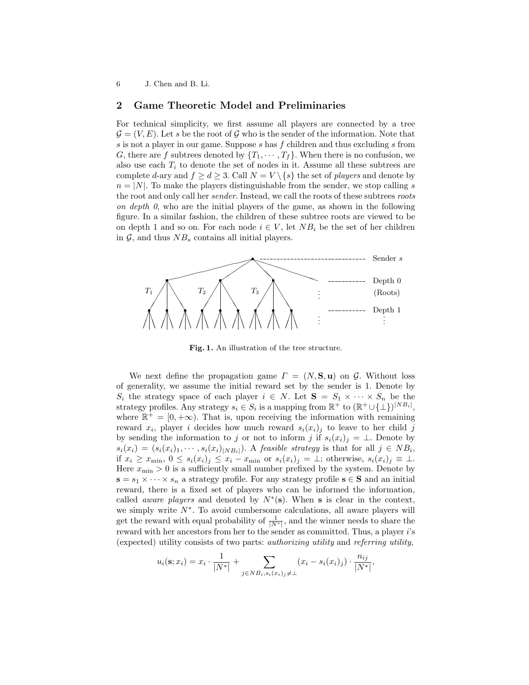## 2 Game Theoretic Model and Preliminaries

For technical simplicity, we first assume all players are connected by a tree  $\mathcal{G} = (V, E)$ . Let s be the root of G who is the sender of the information. Note that  $s$  is not a player in our game. Suppose  $s$  has  $f$  children and thus excluding  $s$  from G, there are f subtrees denoted by  $\{T_1, \dots, T_f\}$ . When there is no confusion, we also use each  $T_i$  to denote the set of nodes in it. Assume all these subtrees are complete d-ary and  $f \geq d \geq 3$ . Call  $N = V \setminus \{s\}$  the set of *players* and denote by  $n = |N|$ . To make the players distinguishable from the sender, we stop calling s the root and only call her sender. Instead, we call the roots of these subtrees roots on depth  $\theta$ , who are the initial players of the game, as shown in the following figure. In a similar fashion, the children of these subtree roots are viewed to be on depth 1 and so on. For each node  $i \in V$ , let  $NB_i$  be the set of her children in  $G$ , and thus  $NB_s$  contains all initial players.



Fig. 1. An illustration of the tree structure.

We next define the propagation game  $\Gamma = (N, \mathbf{S}, \mathbf{u})$  on  $\mathcal{G}$ . Without loss of generality, we assume the initial reward set by the sender is 1. Denote by  $S_i$  the strategy space of each player  $i \in N$ . Let  $\mathbf{S} = S_1 \times \cdots \times S_n$  be the strategy profiles. Any strategy  $s_i \in S_i$  is a mapping from  $\mathbb{R}^+$  to  $(\mathbb{R}^+ \cup \{\perp\})^{|NB_i|}$ , where  $\mathbb{R}^+ = [0, +\infty)$ . That is, upon receiving the information with remaining reward  $x_i$ , player i decides how much reward  $s_i(x_i)_j$  to leave to her child j by sending the information to j or not to inform j if  $s_i(x_i)_i = \perp$ . Denote by  $s_i(x_i) = (s_i(x_i)_1, \cdots, s_i(x_i)_{|NB_i|})$ . A feasible strategy is that for all  $j \in NB_i$ , if  $x_i \geq x_{\min}, 0 \leq s_i(x_i)_j \leq x_i - x_{\min}$  or  $s_i(x_i)_j = \perp$ ; otherwise,  $s_i(x_i)_j \equiv \perp$ . Here  $x_{\min} > 0$  is a sufficiently small number prefixed by the system. Denote by  $\mathbf{s} = s_1 \times \cdots \times s_n$  a strategy profile. For any strategy profile  $\mathbf{s} \in \mathbf{S}$  and an initial reward, there is a fixed set of players who can be informed the information, called *aware players* and denoted by  $N^*(s)$ . When s is clear in the context, we simply write  $N^*$ . To avoid cumbersome calculations, all aware players will get the reward with equal probability of  $\frac{1}{|N^*|}$ , and the winner needs to share the reward with her ancestors from her to the sender as committed. Thus, a player i's (expected) utility consists of two parts: authorizing utility and referring utility,

$$
u_i(\mathbf{s}; x_i) = x_i \cdot \frac{1}{|N^*|} + \sum_{j \in NB_i, s_i(x_i), j \neq \perp} (x_i - s_i(x_i)_j) \cdot \frac{n_{ij}}{|N^*|},
$$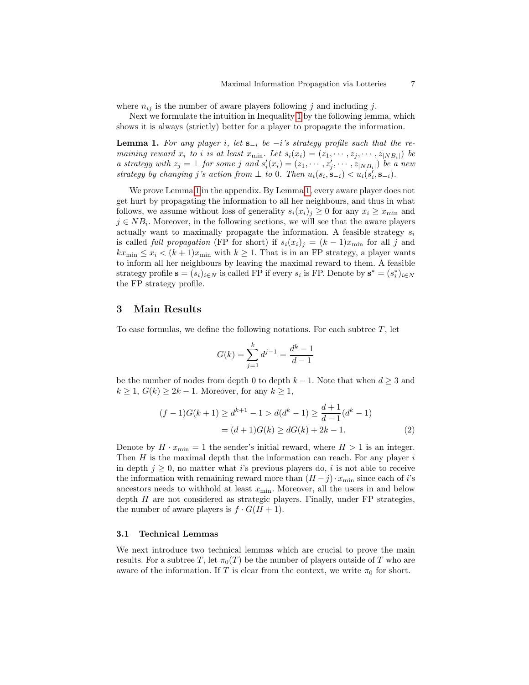where  $n_{ij}$  is the number of aware players following j and including j.

Next we formulate the intuition in Inequality [1](#page-1-0) by the following lemma, which shows it is always (strictly) better for a player to propagate the information.

<span id="page-6-1"></span>**Lemma 1.** For any player i, let  $s_{-i}$  be  $-i$ 's strategy profile such that the remaining reward  $x_i$  to i is at least  $x_{\min}$ . Let  $s_i(x_i) = (z_1, \dots, z_j, \dots, z_{|NB_i|})$  be a strategy with  $z_j = \bot$  for some j and  $s'_i(x_i) = (z_1, \dots, z'_j, \dots, z_{|NB_i|})$  be a new strategy by changing j's action from  $\perp$  to 0. Then  $u_i(s_i, \mathbf{s}_{-i}) < u_i(s'_i, \mathbf{s}_{-i})$ .

We prove Lemma [1](#page-6-1) in the appendix. By Lemma [1,](#page-6-1) every aware player does not get hurt by propagating the information to all her neighbours, and thus in what follows, we assume without loss of generality  $s_i(x_i)_i \geq 0$  for any  $x_i \geq x_{\min}$  and  $j \in NB_i$ . Moreover, in the following sections, we will see that the aware players actually want to maximally propagate the information. A feasible strategy  $s_i$ is called full propagation (FP for short) if  $s_i(x_i)_j = (k-1)x_{\text{min}}$  for all j and  $kx_{\min} \leq x_i < (k+1)x_{\min}$  with  $k \geq 1$ . That is in an FP strategy, a player wants to inform all her neighbours by leaving the maximal reward to them. A feasible strategy profile  $\mathbf{s} = (s_i)_{i \in N}$  is called FP if every  $s_i$  is FP. Denote by  $\mathbf{s}^* = (s_i^*)_{i \in N}$ the FP strategy profile.

## <span id="page-6-0"></span>3 Main Results

To ease formulas, we define the following notations. For each subtree  $T$ , let

<span id="page-6-3"></span>
$$
G(k) = \sum_{j=1}^{k} d^{j-1} = \frac{d^k - 1}{d - 1}
$$

be the number of nodes from depth 0 to depth  $k-1$ . Note that when  $d \geq 3$  and  $k \geq 1, G(k) \geq 2k - 1.$  Moreover, for any  $k \geq 1$ ,

$$
(f-1)G(k+1) \ge d^{k+1} - 1 > d(d^k - 1) \ge \frac{d+1}{d-1}(d^k - 1)
$$

$$
= (d+1)G(k) \ge dG(k) + 2k - 1.
$$
 (2)

Denote by  $H \cdot x_{\min} = 1$  the sender's initial reward, where  $H > 1$  is an integer. Then  $H$  is the maximal depth that the information can reach. For any player  $i$ in depth  $j \geq 0$ , no matter what i's previous players do, i is not able to receive the information with remaining reward more than  $(H - j) \cdot x_{\text{min}}$  since each of i's ancestors needs to withhold at least  $x_{\min}$ . Moreover, all the users in and below depth H are not considered as strategic players. Finally, under FP strategies, the number of aware players is  $f \cdot G(H + 1)$ .

#### 3.1 Technical Lemmas

<span id="page-6-2"></span>We next introduce two technical lemmas which are crucial to prove the main results. For a subtree T, let  $\pi_0(T)$  be the number of players outside of T who are aware of the information. If T is clear from the context, we write  $\pi_0$  for short.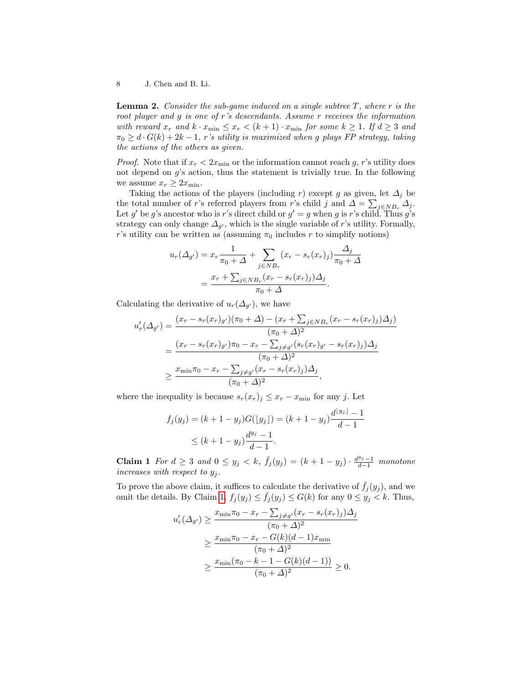**Lemma 2.** Consider the sub-game induced on a single subtree  $T$ , where  $r$  is the root player and g is one of r's descendants. Assume r receives the information with reward  $x_r$  and  $k \cdot x_{\min} \leq x_r < (k+1) \cdot x_{\min}$  for some  $k \geq 1$ . If  $d \geq 3$  and  $\pi_0 \geq d \cdot G(k) + 2k - 1$ , r's utility is maximized when g plays FP strategy, taking the actions of the others as given.

*Proof.* Note that if  $x_r < 2x_{\min}$  or the information cannot reach g, r's utility does not depend on g's action, thus the statement is trivially true. In the following we assume  $x_r \geq 2x_{\min}$ .

Taking the actions of the players (including r) except g as given, let  $\Delta_j$  be the total number of r's referred players from r's child j and  $\Delta = \sum_{j \in NB_r} \Delta_j$ . Let g' be g's ancestor who is r's direct child or  $g' = g$  when g is r's child. Thus g's strategy can only change  $\Delta_{g'}$ , which is the single variable of r's utility. Formally, r's utility can be written as (assuming  $\pi_0$  includes r to simplify notions)

$$
u_r(\Delta_{g'}) = x_r \frac{1}{\pi_0 + \Delta} + \sum_{j \in NB_r} (x_r - s_r(x_r)_j) \frac{\Delta_j}{\pi_0 + \Delta}
$$

$$
= \frac{x_r + \sum_{j \in NB_r} (x_r - s_r(x_r)_j) \Delta_j}{\pi_0 + \Delta}.
$$

Calculating the derivative of  $u_r(\Delta_{g'})$ , we have

$$
u'_{r}(\Delta_{g'}) = \frac{(x_{r} - s_{r}(x_{r})_{g'})(\pi_{0} + \Delta) - (x_{r} + \sum_{j \in NB_{r}} (x_{r} - s_{r}(x_{r})_{j})\Delta_{j})}{(\pi_{0} + \Delta)^{2}}
$$
  
= 
$$
\frac{(x_{r} - s_{r}(x_{r})_{g'})\pi_{0} - x_{r} - \sum_{j \neq g'} (s_{r}(x_{r})_{g'} - s_{r}(x_{r})_{j})\Delta_{j}}{(\pi_{0} + \Delta)^{2}}
$$
  

$$
\geq \frac{x_{\min}\pi_{0} - x_{r} - \sum_{j \neq g'} (x_{r} - s_{r}(x_{r})_{j})\Delta_{j}}{(\pi_{0} + \Delta)^{2}},
$$

where the inequality is because  $s_r(x_r)_j \leq x_r - x_{\min}$  for any j. Let

$$
f_j(y_j) = (k+1-y_j)G(\lfloor y_j \rfloor) = (k+1-y_j) \frac{d^{\lfloor y_j \rfloor} - 1}{d-1}
$$
  
 
$$
\le (k+1-y_j) \frac{d^{y_j} - 1}{d-1}.
$$

<span id="page-7-0"></span>**Claim 1** For  $d \ge 3$  and  $0 \le y_j < k$ ,  $\bar{f}_j(y_j) = (k + 1 - y_j) \cdot \frac{d^{y_j} - 1}{d - 1}$  monotone increases with respect to  $y_i$ .

To prove the above claim, it suffices to calculate the derivative of  $\bar{f}_j(y_j)$ , and we omit the details. By Claim [1,](#page-7-0)  $f_j(y_j) \leq \bar{f}_j(y_j) \leq G(k)$  for any  $0 \leq y_j < k$ . Thus,

$$
u'_{r}(\Delta_{g'}) \ge \frac{x_{\min}\pi_0 - x_r - \sum_{j \ne g'} (x_r - s_r(x_r)_j)\Delta_j}{(\pi_0 + \Delta)^2}
$$
  

$$
\ge \frac{x_{\min}\pi_0 - x_r - G(k)(d - 1)x_{\min}}{(\pi_0 + \Delta)^2}
$$
  

$$
\ge \frac{x_{\min}(\pi_0 - k - 1 - G(k)(d - 1))}{(\pi_0 + \Delta)^2} \ge 0.
$$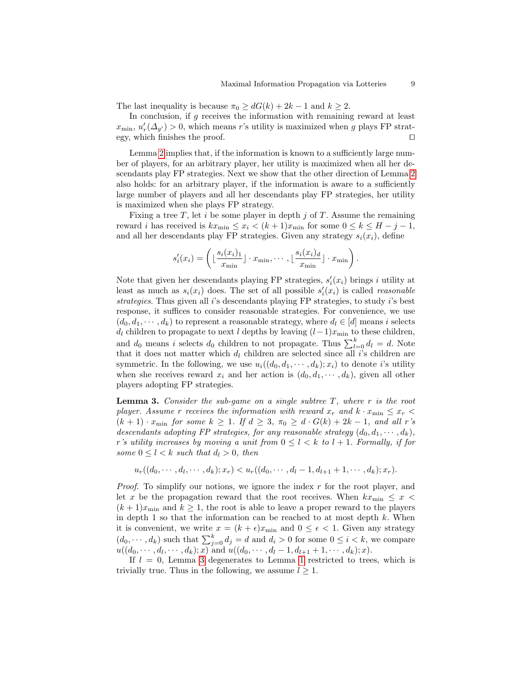The last inequality is because  $\pi_0 \geq dG(k) + 2k - 1$  and  $k \geq 2$ .

In conclusion, if  $g$  receives the information with remaining reward at least  $x_{\min}, u'_r(\Delta_{g'}) > 0$ , which means r's utility is maximized when g plays FP strategy, which finishes the proof.  $\Box$ 

Lemma [2](#page-6-2) implies that, if the information is known to a sufficiently large number of players, for an arbitrary player, her utility is maximized when all her descendants play FP strategies. Next we show that the other direction of Lemma [2](#page-6-2) also holds: for an arbitrary player, if the information is aware to a sufficiently large number of players and all her descendants play FP strategies, her utility is maximized when she plays FP strategy.

Fixing a tree  $T$ , let i be some player in depth j of  $T$ . Assume the remaining reward *i* has received is  $kx_{\min} \leq x_i < (k+1)x_{\min}$  for some  $0 \leq k \leq H-j-1$ , and all her descendants play FP strategies. Given any strategy  $s_i(x_i)$ , define

$$
s'_{i}(x_{i}) = \left( \lfloor \frac{s_{i}(x_{i})_{1}}{x_{\min}} \rfloor \cdot x_{\min}, \cdots, \lfloor \frac{s_{i}(x_{i})_{d}}{x_{\min}} \rfloor \cdot x_{\min} \right).
$$

Note that given her descendants playing FP strategies,  $s_i'(x_i)$  brings i utility at least as much as  $s_i(x_i)$  does. The set of all possible  $s'_i(x_i)$  is called *reasonable* strategies. Thus given all i's descendants playing  $FP$  strategies, to study i's best response, it suffices to consider reasonable strategies. For convenience, we use  $(d_0, d_1, \dots, d_k)$  to represent a reasonable strategy, where  $d_l \in [d]$  means i selects  $d_l$  children to propagate to next l depths by leaving  $(l-1)x_{\min}$  to these children, and  $d_0$  means i selects  $d_0$  children to not propagate. Thus  $\sum_{l=0}^{k} d_l = d$ . Note that it does not matter which  $d_l$  children are selected since all i's children are symmetric. In the following, we use  $u_i((d_0, d_1, \dots, d_k); x_i)$  to denote i's utility when she receives reward  $x_i$  and her action is  $(d_0, d_1, \dots, d_k)$ , given all other players adopting FP strategies.

<span id="page-8-0"></span>**Lemma 3.** Consider the sub-game on a single subtree  $T$ , where  $r$  is the root player. Assume r receives the information with reward  $x_r$  and  $k \cdot x_{\min} \leq x_r$  $(k + 1) \cdot x_{\min}$  for some  $k \ge 1$ . If  $d \ge 3$ ,  $\pi_0 \ge d \cdot G(k) + 2k - 1$ , and all r's descendants adopting FP strategies, for any reasonable strategy  $(d_0, d_1, \dots, d_k)$ , r's utility increases by moving a unit from  $0 \leq l \leq k$  to  $l + 1$ . Formally, if for some  $0 \leq l < k$  such that  $d_l > 0$ , then

$$
u_r((d_0, \cdots, d_l, \cdots, d_k); x_r) < u_r((d_0, \cdots, d_l-1, d_{l+1}+1, \cdots, d_k); x_r).
$$

Proof. To simplify our notions, we ignore the index r for the root player, and let x be the propagation reward that the root receives. When  $kx_{\min} \leq x$  $(k+1)x_{\min}$  and  $k \geq 1$ , the root is able to leave a proper reward to the players in depth 1 so that the information can be reached to at most depth  $k$ . When it is convenient, we write  $x = (k + \epsilon)x_{\min}$  and  $0 \leq \epsilon < 1$ . Given any strategy  $(d_0, \dots, d_k)$  such that  $\sum_{j=0}^k d_j = d$  and  $d_i > 0$  for some  $0 \le i < k$ , we compare  $u((d_0, \dots, d_l, \dots, d_k); x)$  and  $u((d_0, \dots, d_l-1, d_{l+1}+1, \dots, d_k); x)$ .

If  $l = 0$ , Lemma [3](#page-8-0) degenerates to Lemma [1](#page-6-1) restricted to trees, which is trivially true. Thus in the following, we assume  $l \geq 1$ .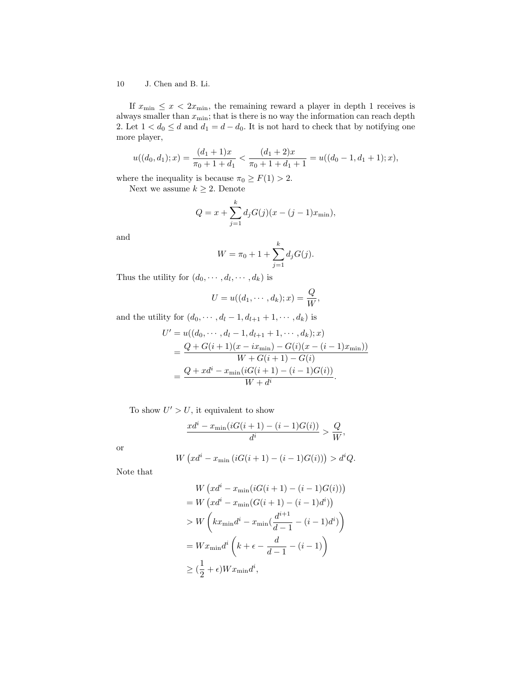If  $x_{\min} \leq x < 2x_{\min}$ , the remaining reward a player in depth 1 receives is always smaller than  $x_{\min}$ ; that is there is no way the information can reach depth 2. Let  $1 < d_0 \leq d$  and  $d_1 = d - d_0.$  It is not hard to check that by notifying one more player,

$$
u((d_0, d_1); x) = \frac{(d_1+1)x}{\pi_0+1+d_1} < \frac{(d_1+2)x}{\pi_0+1+d_1+1} = u((d_0-1, d_1+1); x),
$$

where the inequality is because  $\pi_0 \geq F(1) > 2$ .

Next we assume  $k\geq 2.$  Denote

$$
Q = x + \sum_{j=1}^{k} d_j G(j)(x - (j-1)x_{\min}),
$$

and

$$
W = \pi_0 + 1 + \sum_{j=1}^{k} d_j G(j).
$$

Thus the utility for  $(d_0, \dots, d_l, \dots, d_k)$  is

$$
U=u((d_1,\cdots,d_k);x)=\frac{Q}{W},
$$

and the utility for  $(d_0, \dots, d_l - 1, d_{l+1} + 1, \dots, d_k)$  is

$$
U' = u((d_0, \dots, d_l - 1, d_{l+1} + 1, \dots, d_k); x)
$$
  
= 
$$
\frac{Q + G(i+1)(x - ix_{\min}) - G(i)(x - (i-1)x_{\min}))}{W + G(i+1) - G(i)}
$$
  
= 
$$
\frac{Q + xd^i - x_{\min}(iG(i+1) - (i-1)G(i))}{W + d^i}.
$$

To show  $U' > U$ , it equivalent to show

$$
\frac{xd^{i}-x_{\min}(iG(i+1)-(i-1)G(i))}{d^{i}} > \frac{Q}{W},
$$

or

$$
W\left(xd^{i}-x_{\min}\left(iG(i+1)-(i-1)G(i)\right)\right) > d^{i}Q.
$$

Note that

$$
W\left(xd^{i} - x_{\min}(iG(i+1) - (i-1)G(i))\right)
$$
  
= 
$$
W\left(xd^{i} - x_{\min}(G(i+1) - (i-1)d^{i})\right)
$$
  
> 
$$
W\left(kx_{\min}d^{i} - x_{\min}\left(\frac{d^{i+1}}{d-1} - (i-1)d^{i}\right)\right)
$$
  
= 
$$
Wx_{\min}d^{i}\left(k + \epsilon - \frac{d}{d-1} - (i-1)\right)
$$
  

$$
\geq (\frac{1}{2} + \epsilon)Wx_{\min}d^{i},
$$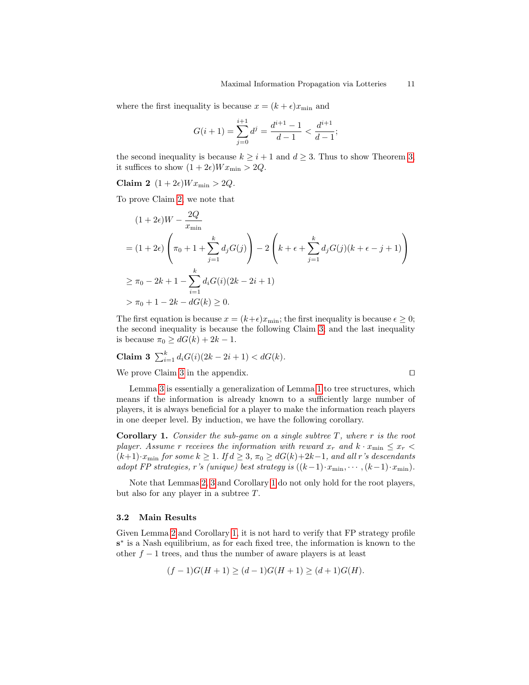where the first inequality is because  $x = (k + \epsilon)x_{\min}$  and

$$
G(i + 1) = \sum_{j=0}^{i+1} d^j = \frac{d^{i+1} - 1}{d - 1} < \frac{d^{i+1}}{d - 1};
$$

the second inequality is because  $k \geq i+1$  and  $d \geq 3$ . Thus to show Theorem [3,](#page-8-0) it suffices to show  $(1 + 2\epsilon)Wx_{\min} > 2Q$ .

<span id="page-10-0"></span>Claim 2  $(1+2\epsilon)Wx_{\min} > 2Q$ .

To prove Claim [2,](#page-10-0) we note that

$$
(1+2\epsilon)W - \frac{2Q}{x_{\min}}
$$
  
=  $(1+2\epsilon)\left(\pi_0 + 1 + \sum_{j=1}^k d_j G(j)\right) - 2\left(k + \epsilon + \sum_{j=1}^k d_j G(j)(k + \epsilon - j + 1)\right)$   
 $\ge \pi_0 - 2k + 1 - \sum_{i=1}^k d_i G(i)(2k - 2i + 1)$   
 $\ge \pi_0 + 1 - 2k - dG(k) \ge 0.$ 

The first equation is because  $x = (k+\epsilon)x_{\text{min}}$ ; the first inequality is because  $\epsilon \geq 0$ ; the second inequality is because the following Claim [3;](#page-10-1) and the last inequality is because  $\pi_0 \geq dG(k) + 2k - 1$ .

<span id="page-10-1"></span>**Claim 3** 
$$
\sum_{i=1}^{k} d_i G(i) (2k - 2i + 1) < dG(k)
$$
.

We prove Claim [3](#page-10-1) in the appendix.  $\Box$ 

Lemma [3](#page-8-0) is essentially a generalization of Lemma [1](#page-6-1) to tree structures, which means if the information is already known to a sufficiently large number of players, it is always beneficial for a player to make the information reach players in one deeper level. By induction, we have the following corollary.

<span id="page-10-2"></span>**Corollary 1.** Consider the sub-game on a single subtree  $T$ , where  $r$  is the root player. Assume r receives the information with reward  $x_r$  and  $k \cdot x_{\min} \leq x_r$  $(k+1) \cdot x_{\min}$  for some  $k \geq 1$ . If  $d \geq 3$ ,  $\pi_0 \geq dG(k)+2k-1$ , and all r's descendants adopt FP strategies, r's (unique) best strategy is  $((k-1) \cdot x_{\min}, \cdots, (k-1) \cdot x_{\min}).$ 

Note that Lemmas [2,](#page-6-2) [3](#page-8-0) and Corollary [1](#page-10-2) do not only hold for the root players, but also for any player in a subtree T.

#### 3.2 Main Results

Given Lemma [2](#page-6-2) and Corollary [1,](#page-10-2) it is not hard to verify that FP strategy profile s<sup>\*</sup> is a Nash equilibrium, as for each fixed tree, the information is known to the other  $f - 1$  trees, and thus the number of aware players is at least

$$
(f-1)G(H+1) \ge (d-1)G(H+1) \ge (d+1)G(H).
$$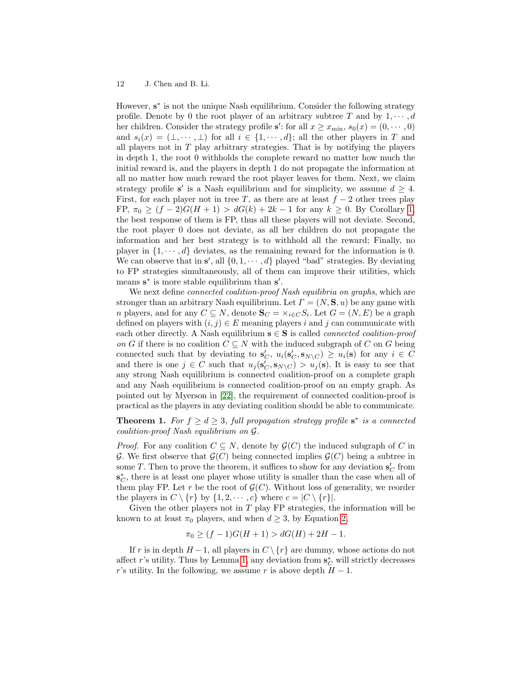However,  $s^*$  is not the unique Nash equilibrium. Consider the following strategy profile. Denote by 0 the root player of an arbitrary subtree T and by  $1, \dots, d$ her children. Consider the strategy profile  $s'$ : for all  $x \geq x_{\min}$ ,  $s_0(x) = (0, \dots, 0)$ and  $s_i(x) = (\perp, \cdots, \perp)$  for all  $i \in \{1, \cdots, d\}$ ; all the other players in T and all players not in  $T$  play arbitrary strategies. That is by notifying the players in depth 1, the root 0 withholds the complete reward no matter how much the initial reward is, and the players in depth 1 do not propagate the information at all no matter how much reward the root player leaves for them. Next, we claim strategy profile s' is a Nash equilibrium and for simplicity, we assume  $d \geq 4$ . First, for each player not in tree T, as there are at least  $f - 2$  other trees play FP,  $\pi_0$  ≥  $(f - 2)G(H + 1) > dG(k) + 2k - 1$  for any  $k \ge 0$ . By Corollary [1,](#page-10-2) the best response of them is FP, thus all these players will not deviate. Second, the root player 0 does not deviate, as all her children do not propagate the information and her best strategy is to withhold all the reward; Finally, no player in  $\{1, \dots, d\}$  deviates, as the remaining reward for the information is 0. We can observe that in  $s'$ , all  $\{0, 1, \dots, d\}$  played "bad" strategies. By deviating to FP strategies simultaneously, all of them can improve their utilities, which means  $s^*$  is more stable equilibrium than  $s'$ .

We next define *connected coalition-proof Nash equilibria on graphs*, which are stronger than an arbitrary Nash equilibrium. Let  $\Gamma = (N, S, u)$  be any game with *n* players, and for any  $C \subseteq N$ , denote  $\mathbf{S}_C = \times_{i \in C} S_i$ . Let  $G = (N, E)$  be a graph defined on players with  $(i, j) \in E$  meaning players i and j can communicate with each other directly. A Nash equilibrium  $s \in S$  is called *connected coalition-proof* on G if there is no coalition  $C \subseteq N$  with the induced subgraph of C on G being connected such that by deviating to  $\mathbf{s}'_C$ ,  $u_i(\mathbf{s}'_C, \mathbf{s}_{N\setminus C}) \geq u_i(\mathbf{s})$  for any  $i \in C$ and there is one  $j \in C$  such that  $u_j(s'_C, s_{N\setminus C}) > u_j(s)$ . It is easy to see that any strong Nash equilibrium is connected coalition-proof on a complete graph and any Nash equilibrium is connected coalition-proof on an empty graph. As pointed out by Myerson in [\[22\]](#page-20-5), the requirement of connected coalition-proof is practical as the players in any deviating coalition should be able to communicate.

# <span id="page-11-0"></span>**Theorem 1.** For  $f \geq d \geq 3$ , full propagation strategy profile  $s^*$  is a connected coalition-proof Nash equilibrium on G.

*Proof.* For any coalition  $C \subseteq N$ , denote by  $\mathcal{G}(C)$  the induced subgraph of C in G. We first observe that  $\mathcal{G}(C)$  being connected implies  $\mathcal{G}(C)$  being a subtree in some T. Then to prove the theorem, it suffices to show for any deviation  $\mathbf{s}'_C$  from  $\mathbf{s}_{C}^{*}$ , there is at least one player whose utility is smaller than the case when all of them play FP. Let r be the root of  $\mathcal{G}(C)$ . Without loss of generality, we reorder the players in  $C \setminus \{r\}$  by  $\{1, 2, \dots, c\}$  where  $c = |C \setminus \{r\}|$ .

Given the other players not in  $T$  play FP strategies, the information will be known to at least  $\pi_0$  players, and when  $d \geq 3$ , by Equation [2,](#page-6-3)

$$
\pi_0 \ge (f - 1)G(H + 1) > dG(H) + 2H - 1.
$$

If r is in depth  $H-1$ , all players in  $C \setminus \{r\}$  are dummy, whose actions do not affect r's utility. Thus by Lemma [1,](#page-6-1) any deviation from  $\mathbf{s}_{C}^{*}$  will strictly decreases r's utility. In the following, we assume r is above depth  $H - 1$ .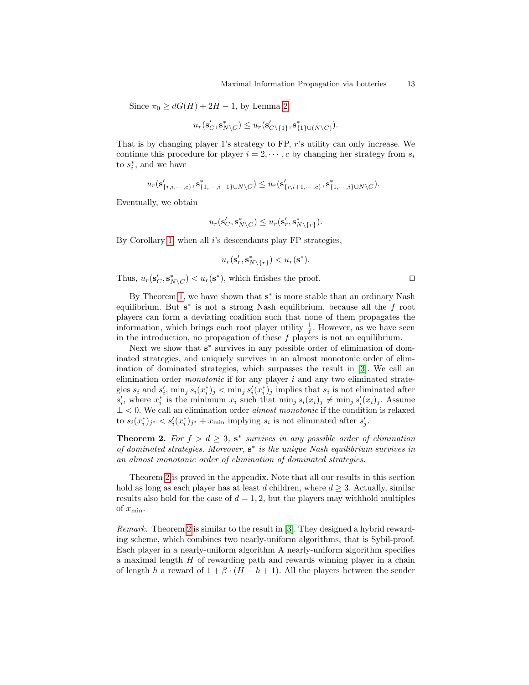Since  $\pi_0 \geq dG(H) + 2H - 1$ , by Lemma [2,](#page-6-2)

$$
u_r(\mathbf{s}'_C, \mathbf{s}^*_{N \setminus C}) \leq u_r(\mathbf{s}'_{C \setminus \{1\}}, \mathbf{s}^*_{\{1\} \cup (N \setminus C)}).
$$

That is by changing player 1's strategy to FP, r's utility can only increase. We continue this procedure for player  $i = 2, \dots, c$  by changing her strategy from  $s_i$ to  $s_i^*$ , and we have

$$
u_r(\mathbf{s}'_{\{r,i,\cdots,c\}}, \mathbf{s}^*_{\{1,\cdots,i-1\}\cup N\setminus C})\leq u_r(\mathbf{s}'_{\{r,i+1,\cdots,c\}}, \mathbf{s}^*_{\{1,\cdots,i\}\cup N\setminus C}).
$$

Eventually, we obtain

$$
u_r(\mathbf{s}'_C, \mathbf{s}^*_{N\setminus C}) \leq u_r(\mathbf{s}'_r, \mathbf{s}^*_{N\setminus\{r\}}).
$$

By Corollary [1,](#page-10-2) when all  $i$ 's descendants play FP strategies,

$$
u_r(\mathbf{s}'_r, \mathbf{s}^*_{N\setminus\{r\}}) < u_r(\mathbf{s}^*).
$$

Thus,  $u_r(\mathbf{s}'_C, \mathbf{s}^*_{N \setminus C}) < u_r(\mathbf{s}^*)$ , which finishes the proof.

By Theorem [1,](#page-11-0) we have shown that  $s^*$  is more stable than an ordinary Nash equilibrium. But  $s^*$  is not a strong Nash equilibrium, because all the  $f$  root players can form a deviating coalition such that none of them propagates the information, which brings each root player utility  $\frac{1}{f}$ . However, as we have seen in the introduction, no propagation of these  $f$  players is not an equilibrium.

Next we show that  $s^*$  survives in any possible order of elimination of dominated strategies, and uniquely survives in an almost monotonic order of elimination of dominated strategies, which surpasses the result in [\[3\]](#page-20-1). We call an elimination order monotonic if for any player i and any two eliminated strategies  $s_i$  and  $s'_i$ ,  $\min_j s_i(x_i^*)_j < \min_j s'_i(x_i^*)_j$  implies that  $s_i$  is not eliminated after  $s_i'$ , where  $x_i^*$  is the minimum  $x_i$  such that  $\min_j s_i(x_i)_j \neq \min_j s_i'(x_i)_j$ . Assume  $\perp$  < 0. We call an elimination order *almost monotonic* if the condition is relaxed to  $s_i(x_i^*)_{j^*} < s'_i(x_i^*)_{j^*} + x_{\text{min}}$  implying  $s_i$  is not eliminated after  $s'_j$ .

<span id="page-12-0"></span>**Theorem 2.** For  $f > d \geq 3$ ,  $s^*$  survives in any possible order of elimination of dominated strategies. Moreover,  $s^*$  is the unique Nash equilibrium survives in an almost monotonic order of elimination of dominated strategies.

Theorem [2](#page-12-0) is proved in the appendix. Note that all our results in this section hold as long as each player has at least d children, where  $d \geq 3$ . Actually, similar results also hold for the case of  $d = 1, 2$ , but the players may withhold multiples of  $x_{\min}$ .

Remark. Theorem [2](#page-12-0) is similar to the result in [\[3\]](#page-20-1). They designed a hybrid rewarding scheme, which combines two nearly-uniform algorithms, that is Sybil-proof. Each player in a nearly-uniform algorithm A nearly-uniform algorithm specifies a maximal length H of rewarding path and rewards winning player in a chain of length h a reward of  $1 + \beta \cdot (H - h + 1)$ . All the players between the sender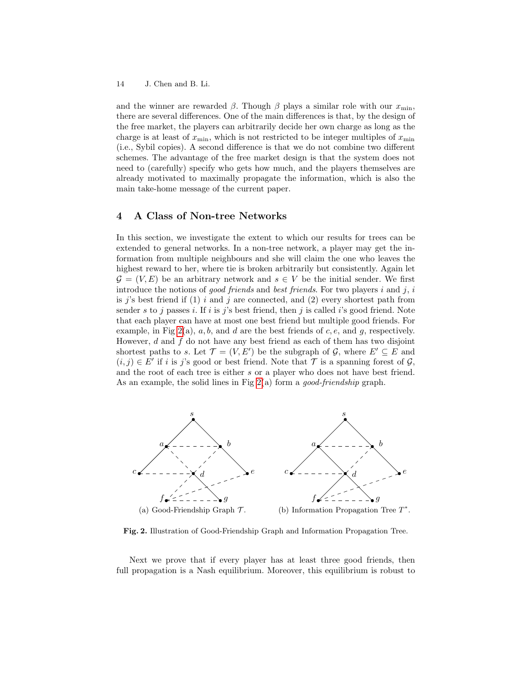and the winner are rewarded  $\beta$ . Though  $\beta$  plays a similar role with our  $x_{\min}$ , there are several differences. One of the main differences is that, by the design of the free market, the players can arbitrarily decide her own charge as long as the charge is at least of  $x_{\min}$ , which is not restricted to be integer multiples of  $x_{\min}$ (i.e., Sybil copies). A second difference is that we do not combine two different schemes. The advantage of the free market design is that the system does not need to (carefully) specify who gets how much, and the players themselves are already motivated to maximally propagate the information, which is also the main take-home message of the current paper.

## 4 A Class of Non-tree Networks

In this section, we investigate the extent to which our results for trees can be extended to general networks. In a non-tree network, a player may get the information from multiple neighbours and she will claim the one who leaves the highest reward to her, where tie is broken arbitrarily but consistently. Again let  $\mathcal{G} = (V, E)$  be an arbitrary network and  $s \in V$  be the initial sender. We first introduce the notions of *good friends* and *best friends*. For two players i and j, i is j's best friend if (1) i and j are connected, and (2) every shortest path from sender s to j passes i. If i is j's best friend, then j is called i's good friend. Note that each player can have at most one best friend but multiple good friends. For example, in Fig [2\(](#page-13-0)a), a, b, and d are the best friends of c, e, and q, respectively. However,  $d$  and  $f$  do not have any best friend as each of them has two disjoint shortest paths to s. Let  $\mathcal{T} = (V, E')$  be the subgraph of  $\mathcal{G}$ , where  $E' \subseteq E$  and  $(i, j) \in E'$  if i is j's good or best friend. Note that  $\mathcal T$  is a spanning forest of  $\mathcal G$ , and the root of each tree is either s or a player who does not have best friend. As an example, the solid lines in Fig  $2(a)$  form a *good-friendship* graph.



<span id="page-13-0"></span>Fig. 2. Illustration of Good-Friendship Graph and Information Propagation Tree.

Next we prove that if every player has at least three good friends, then full propagation is a Nash equilibrium. Moreover, this equilibrium is robust to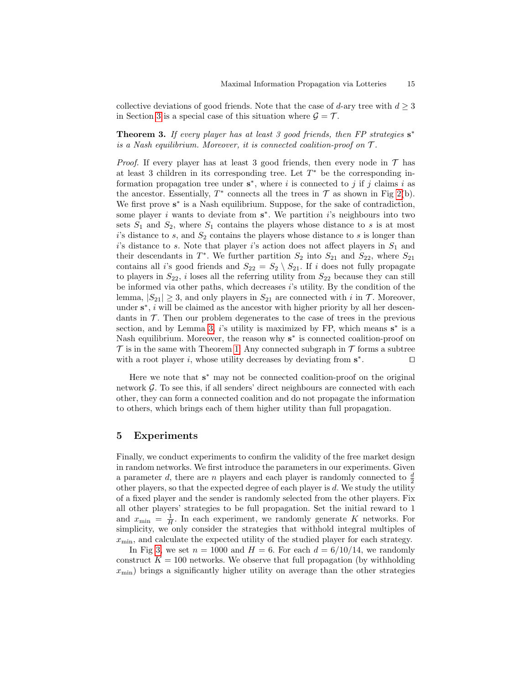collective deviations of good friends. Note that the case of d-ary tree with  $d \geq 3$ in Section [3](#page-6-0) is a special case of this situation where  $\mathcal{G} = \mathcal{T}$ .

<span id="page-14-0"></span>**Theorem 3.** If every player has at least 3 good friends, then FP strategies  $s^*$ is a Nash equilibrium. Moreover, it is connected coalition-proof on  $\mathcal{T}$ .

*Proof.* If every player has at least 3 good friends, then every node in  $\mathcal T$  has at least 3 children in its corresponding tree. Let  $T^*$  be the corresponding information propagation tree under  $s^*$ , where i is connected to j if j claims i as the ancestor. Essentially,  $T^*$  connects all the trees in  $\mathcal T$  as shown in Fig [2\(](#page-13-0)b). We first prove  $s^*$  is a Nash equilibrium. Suppose, for the sake of contradiction, some player  $i$  wants to deviate from  $s^*$ . We partition  $i$ 's neighbours into two sets  $S_1$  and  $S_2$ , where  $S_1$  contains the players whose distance to s is at most  $i$ 's distance to s, and  $S_2$  contains the players whose distance to s is longer than i's distance to s. Note that player i's action does not affect players in  $S_1$  and their descendants in  $T^*$ . We further partition  $S_2$  into  $S_{21}$  and  $S_{22}$ , where  $S_{21}$ contains all *i*'s good friends and  $S_{22} = S_2 \setminus S_{21}$ . If *i* does not fully propagate to players in  $S_{22}$ , i loses all the referring utility from  $S_{22}$  because they can still be informed via other paths, which decreases i's utility. By the condition of the lemma,  $|S_{21}| \geq 3$ , and only players in  $S_{21}$  are connected with i in  $\mathcal{T}$ . Moreover, under  $s^*$ , *i* will be claimed as the ancestor with higher priority by all her descendants in  $\mathcal T$ . Then our problem degenerates to the case of trees in the previous section, and by Lemma [3,](#page-8-0) i's utility is maximized by FP, which means  $s^*$  is a Nash equilibrium. Moreover, the reason why  $s^*$  is connected coalition-proof on  $\mathcal T$  is in the same with Theorem [1:](#page-11-0) Any connected subgraph in  $\mathcal T$  forms a subtree with a root player *i*, whose utility decreases by deviating from  $s^*$ .  $\Box$ 

Here we note that  $s^*$  may not be connected coalition-proof on the original network  $\mathcal G$ . To see this, if all senders' direct neighbours are connected with each other, they can form a connected coalition and do not propagate the information to others, which brings each of them higher utility than full propagation.

## <span id="page-14-1"></span>5 Experiments

Finally, we conduct experiments to confirm the validity of the free market design in random networks. We first introduce the parameters in our experiments. Given a parameter d, there are n players and each player is randomly connected to  $\frac{d}{2}$ other players, so that the expected degree of each player is d. We study the utility of a fixed player and the sender is randomly selected from the other players. Fix all other players' strategies to be full propagation. Set the initial reward to 1 and  $x_{\min} = \frac{1}{H}$ . In each experiment, we randomly generate K networks. For simplicity, we only consider the strategies that withhold integral multiples of  $x_{\min}$ , and calculate the expected utility of the studied player for each strategy.

In Fig [3,](#page-15-0) we set  $n = 1000$  and  $H = 6$ . For each  $d = 6/10/14$ , we randomly construct  $K = 100$  networks. We observe that full propagation (by withholding  $x_{\text{min}}$ ) brings a significantly higher utility on average than the other strategies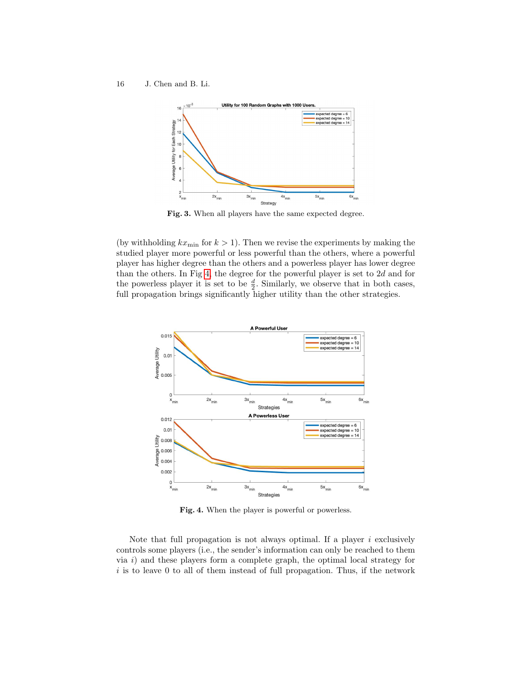16 J. Chen and B. Li.



<span id="page-15-0"></span>Fig. 3. When all players have the same expected degree.

(by withholding  $kx_{\min}$  for  $k > 1$ ). Then we revise the experiments by making the studied player more powerful or less powerful than the others, where a powerful player has higher degree than the others and a powerless player has lower degree than the others. In Fig [4,](#page-15-1) the degree for the powerful player is set to  $2d$  and for the powerless player it is set to be  $\frac{d}{2}$ . Similarly, we observe that in both cases, full propagation brings significantly higher utility than the other strategies.



<span id="page-15-1"></span>Fig. 4. When the player is powerful or powerless.

Note that full propagation is not always optimal. If a player  $i$  exclusively controls some players (i.e., the sender's information can only be reached to them via  $i$ ) and these players form a complete graph, the optimal local strategy for  $i$  is to leave 0 to all of them instead of full propagation. Thus, if the network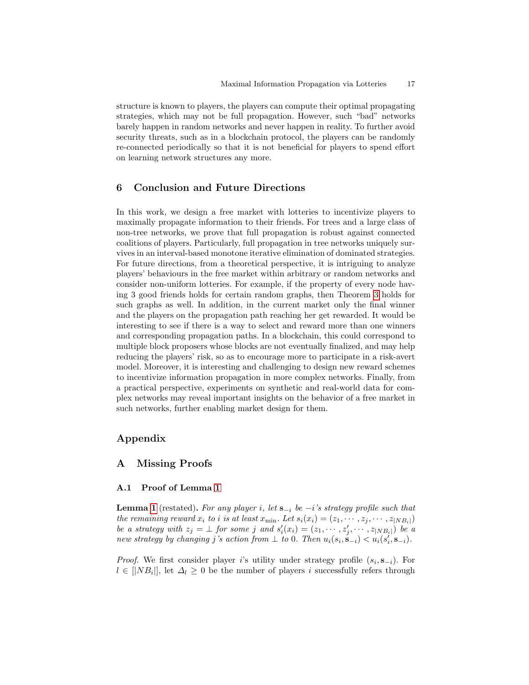structure is known to players, the players can compute their optimal propagating strategies, which may not be full propagation. However, such "bad" networks barely happen in random networks and never happen in reality. To further avoid security threats, such as in a blockchain protocol, the players can be randomly re-connected periodically so that it is not beneficial for players to spend effort on learning network structures any more.

## 6 Conclusion and Future Directions

In this work, we design a free market with lotteries to incentivize players to maximally propagate information to their friends. For trees and a large class of non-tree networks, we prove that full propagation is robust against connected coalitions of players. Particularly, full propagation in tree networks uniquely survives in an interval-based monotone iterative elimination of dominated strategies. For future directions, from a theoretical perspective, it is intriguing to analyze players' behaviours in the free market within arbitrary or random networks and consider non-uniform lotteries. For example, if the property of every node having 3 good friends holds for certain random graphs, then Theorem [3](#page-14-0) holds for such graphs as well. In addition, in the current market only the final winner and the players on the propagation path reaching her get rewarded. It would be interesting to see if there is a way to select and reward more than one winners and corresponding propagation paths. In a blockchain, this could correspond to multiple block proposers whose blocks are not eventually finalized, and may help reducing the players' risk, so as to encourage more to participate in a risk-avert model. Moreover, it is interesting and challenging to design new reward schemes to incentivize information propagation in more complex networks. Finally, from a practical perspective, experiments on synthetic and real-world data for complex networks may reveal important insights on the behavior of a free market in such networks, further enabling market design for them.

# Appendix

# A Missing Proofs

#### A.1 Proof of Lemma [1](#page-6-1)

**Lemma [1](#page-6-1)** (restated). For any player i, let  $s_{-i}$  be  $-i$ 's strategy profile such that the remaining reward  $x_i$  to i is at least  $x_{\min}$ . Let  $s_i(x_i) = (z_1, \dots, z_j, \dots, z_{|NB_i|})$ be a strategy with  $z_j = \perp$  for some j and  $s'_i(x_i) = (z_1, \dots, z'_j, \dots, z_{|NB_i|})$  be a new strategy by changing j's action from  $\perp$  to 0. Then  $u_i(s_i, \mathbf{s}_{-i}) < u_i(s_i', \mathbf{s}_{-i}).$ 

*Proof.* We first consider player i's utility under strategy profile  $(s_i, \mathbf{s}_{-i})$ . For  $l \in [N B_i]$ , let  $\Delta_l \geq 0$  be the number of players i successfully refers through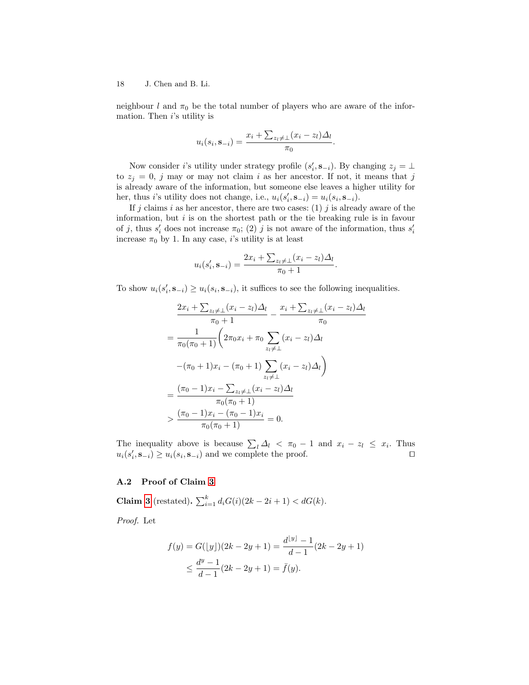neighbour l and  $\pi_0$  be the total number of players who are aware of the information. Then  $i$ 's utility is

$$
u_i(s_i, \mathbf{s}_{-i}) = \frac{x_i + \sum_{z_l \neq \perp} (x_i - z_l) \Delta_l}{\pi_0}
$$

.

Now consider *i*'s utility under strategy profile  $(s'_i, \mathbf{s}_{-i})$ . By changing  $z_j = \perp$ to  $z_j = 0$ , j may or may not claim i as her ancestor. If not, it means that j is already aware of the information, but someone else leaves a higher utility for her, thus *i*'s utility does not change, i.e.,  $u_i(s'_i, \mathbf{s}_{-i}) = u_i(s_i, \mathbf{s}_{-i}).$ 

If j claims i as her ancestor, there are two cases: (1) j is already aware of the information, but  $i$  is on the shortest path or the tie breaking rule is in favour of j, thus  $s_i'$  does not increase  $\pi_0$ ; (2) j is not aware of the information, thus  $s_i'$ increase  $\pi_0$  by 1. In any case, *i*'s utility is at least

$$
u_i(s'_i, \mathbf{s}_{-i}) = \frac{2x_i + \sum_{z_l \neq \perp} (x_i - z_l)\Delta_l}{\pi_0 + 1}.
$$

To show  $u_i(s'_i, \mathbf{s}_{-i}) \geq u_i(s_i, \mathbf{s}_{-i})$ , it suffices to see the following inequalities.

$$
\frac{2x_i + \sum_{z_l \neq \perp} (x_i - z_l)\Delta_l}{\pi_0 + 1} - \frac{x_i + \sum_{z_l \neq \perp} (x_i - z_l)\Delta_l}{\pi_0}
$$
\n
$$
= \frac{1}{\pi_0(\pi_0 + 1)} \left(2\pi_0 x_i + \pi_0 \sum_{z_l \neq \perp} (x_i - z_l)\Delta_l - (\pi_0 + 1)x_i - (\pi_0 + 1) \sum_{z_l \neq \perp} (x_i - z_l)\Delta_l\right)
$$
\n
$$
= \frac{(\pi_0 - 1)x_i - \sum_{z_l \neq \perp} (x_i - z_l)\Delta_l}{\pi_0(\pi_0 + 1)}
$$
\n
$$
> \frac{(\pi_0 - 1)x_i - (\pi_0 - 1)x_i}{\pi_0(\pi_0 + 1)} = 0.
$$

The inequality above is because  $\sum_l \Delta_l < \pi_0 - 1$  and  $x_i - z_l \leq x_i$ . Thus  $u_i(s'_i, \mathbf{s}_{-i}) \ge u_i(s_i, \mathbf{s}_{-i})$  and we complete the proof.

#### A.2 Proof of Claim [3](#page-10-1)

**Claim [3](#page-10-1)** (restated).  $\sum_{i=1}^{k} d_i G(i) (2k - 2i + 1) < dG(k)$ .

Proof. Let

$$
f(y) = G(\lfloor y \rfloor)(2k - 2y + 1) = \frac{d^{\lfloor y \rfloor} - 1}{d - 1}(2k - 2y + 1)
$$
  

$$
\leq \frac{d^y - 1}{d - 1}(2k - 2y + 1) = \overline{f}(y).
$$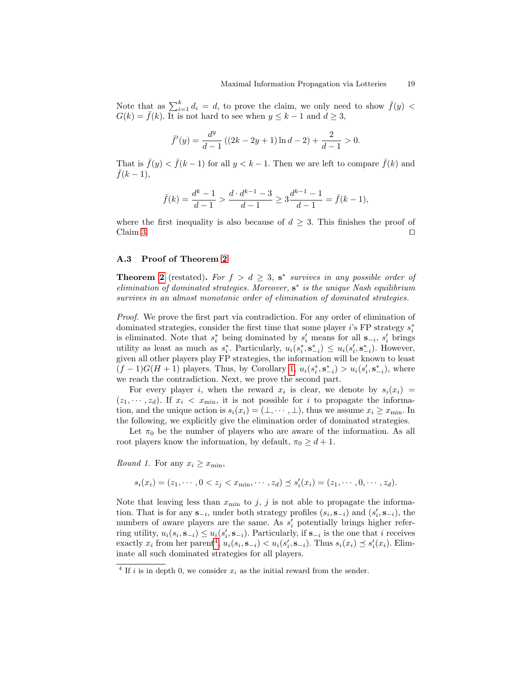Note that as  $\sum_{i=1}^{k} d_i = d$ , to prove the claim, we only need to show  $\bar{f}(y)$  <  $G(k) = \overline{f}(k)$ . It is not hard to see when  $y \leq k - 1$  and  $d \geq 3$ ,

$$
\bar{f}'(y) = \frac{d^y}{d-1} \left( (2k - 2y + 1) \ln d - 2 \right) + \frac{2}{d-1} > 0.
$$

That is  $\bar{f}(y) < \bar{f}(k-1)$  for all  $y < k-1$ . Then we are left to compare  $\bar{f}(k)$  and  $\overline{f}(k-1),$ 

$$
\bar{f}(k) = \frac{d^k - 1}{d - 1} > \frac{d \cdot d^{k-1} - 3}{d - 1} \ge 3 \frac{d^{k-1} - 1}{d - 1} = \bar{f}(k - 1),
$$

where the first inequality is also because of  $d \geq 3$ . This finishes the proof of Claim [3.](#page-10-1)  $\Box$ 

#### A.3 Proof of Theorem [2](#page-12-0)

**Theorem [2](#page-12-0)** (restated). For  $f > d \geq 3$ , s<sup>\*</sup> survives in any possible order of  $elimination of dominated strategies. Moreover, s<sup>*</sup> is the unique Nash equilibrium$ survives in an almost monotonic order of elimination of dominated strategies.

Proof. We prove the first part via contradiction. For any order of elimination of dominated strategies, consider the first time that some player *i*'s FP strategy  $s_i^*$ is eliminated. Note that  $s_i^*$  being dominated by  $s_i'$  means for all  $s_{-i}, s_i'$  brings utility as least as much as  $s_i^*$ . Particularly,  $u_i(s_i^*, \mathbf{s}_{-i}^*) \leq u_i(s_i', \mathbf{s}_{-i}^*)$ . However, given all other players play FP strategies, the information will be known to least  $(f-1)G(H+1)$  players. Thus, by Corollary [1,](#page-10-2)  $u_i(s_i^*, \mathbf{s}_{-i}^*) > u_i(s_i^*, \mathbf{s}_{-i}^*)$ , where we reach the contradiction. Next, we prove the second part.

For every player i, when the reward  $x_i$  is clear, we denote by  $s_i(x_i)$  =  $(z_1, \dots, z_d)$ . If  $x_i < x_{\text{min}}$ , it is not possible for i to propagate the information, and the unique action is  $s_i(x_i) = (\perp, \cdots, \perp)$ , thus we assume  $x_i \geq x_{\min}$ . In the following, we explicitly give the elimination order of dominated strategies.

Let  $\pi_0$  be the number of players who are aware of the information. As all root players know the information, by default,  $\pi_0 \geq d+1$ .

*Round 1.* For any  $x_i \geq x_{\min}$ ,

$$
s_i(x_i) = (z_1, \cdots, 0 < z_j < x_{\min}, \cdots, z_d) \le s'_i(x_i) = (z_1, \cdots, 0, \cdots, z_d).
$$

Note that leaving less than  $x_{\min}$  to j, j is not able to propagate the information. That is for any  $\mathbf{s}_{-i}$ , under both strategy profiles  $(s_i, \mathbf{s}_{-i})$  and  $(s'_i, \mathbf{s}_{-i})$ , the numbers of aware players are the same. As  $s_i'$  potentially brings higher referring utility,  $u_i(s_i, \mathbf{s}_{-i}) \leq u_i(s'_i, \mathbf{s}_{-i})$ . Particularly, if  $\mathbf{s}_{-i}$  is the one that i receives exactly  $x_i$  from her parent<sup>[4](#page-18-0)</sup>,  $u_i(s_i, \mathbf{s}_{-i}) < u_i(s'_i, \mathbf{s}_{-i})$ . Thus  $s_i(x_i) \preceq s'_i(x_i)$ . Eliminate all such dominated strategies for all players.

<span id="page-18-0"></span><sup>&</sup>lt;sup>4</sup> If *i* is in depth 0, we consider  $x_i$  as the initial reward from the sender.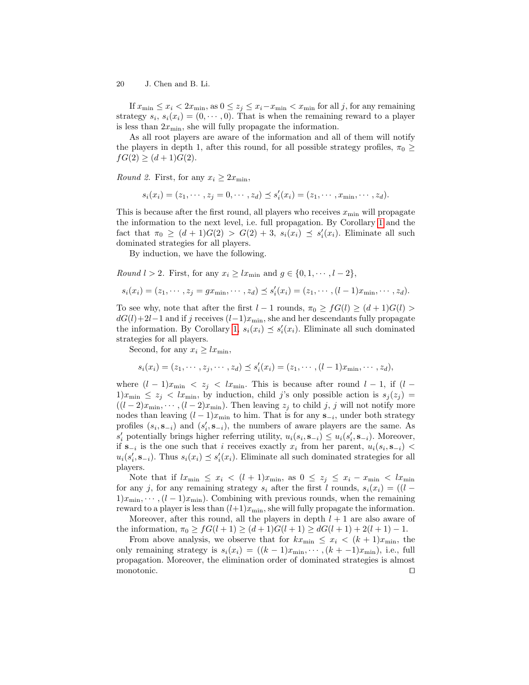If  $x_{\min} \leq x_i < 2x_{\min}$ , as  $0 \leq z_j \leq x_i - x_{\min} < x_{\min}$  for all j, for any remaining strategy  $s_i$ ,  $s_i(x_i) = (0, \dots, 0)$ . That is when the remaining reward to a player is less than  $2x_{\min}$ , she will fully propagate the information.

As all root players are aware of the information and all of them will notify the players in depth 1, after this round, for all possible strategy profiles,  $\pi_0 \geq$  $fG(2) \geq (d+1)G(2).$ 

*Round 2.* First, for any  $x_i \geq 2x_{\min}$ ,

$$
s_i(x_i) = (z_1, \cdots, z_j = 0, \cdots, z_d) \le s'_i(x_i) = (z_1, \cdots, x_{\min}, \cdots, z_d).
$$

This is because after the first round, all players who receives  $x_{\min}$  will propagate the information to the next level, i.e. full propagation. By Corollary [1](#page-10-2) and the fact that  $\pi_0 \geq (d+1)G(2) > G(2) + 3$ ,  $s_i(x_i) \preceq s'_i(x_i)$ . Eliminate all such dominated strategies for all players.

By induction, we have the following.

Round  $l > 2$ . First, for any  $x_i \geq l x_{\min}$  and  $q \in \{0, 1, \cdots, l-2\},$ 

$$
s_i(x_i) = (z_1, \dots, z_j = gx_{\min}, \dots, z_d) \le s'_i(x_i) = (z_1, \dots, (l-1)x_{\min}, \dots, z_d).
$$

To see why, note that after the first  $l - 1$  rounds,  $\pi_0 \geq fG(l) \geq (d+1)G(l)$  $dG(l)+2l-1$  and if j receives  $(l-1)x_{\min}$ , she and her descendants fully propagate the information. By Corollary [1,](#page-10-2)  $s_i(x_i) \preceq s'_i(x_i)$ . Eliminate all such dominated strategies for all players.

Second, for any  $x_i \geq lx_{\text{min}},$ 

$$
s_i(x_i) = (z_1, \dots, z_j, \dots, z_d) \leq s'_i(x_i) = (z_1, \dots, (l-1)x_{\min}, \dots, z_d),
$$

where  $(l-1)x_{\min} < z_j < lx_{\min}$ . This is because after round  $l-1$ , if  $(l 1/x_{\text{min}} \leq z_j < lx_{\text{min}}$ , by induction, child j's only possible action is  $s_j(z_j)$  $((l-2)x_{\min},\cdots,(l-2)x_{\min})$ . Then leaving  $z_j$  to child j, j will not notify more nodes than leaving  $(l-1)x_{\min}$  to him. That is for any  $s_{-i}$ , under both strategy profiles  $(s_i, \mathbf{s}_{-i})$  and  $(s'_i, \mathbf{s}_{-i})$ , the numbers of aware players are the same. As  $s'_i$  potentially brings higher referring utility,  $u_i(s_i, \mathbf{s}_{-i}) \leq u_i(s'_i, \mathbf{s}_{-i})$ . Moreover, if  $\mathbf{s}_{-i}$  is the one such that i receives exactly  $x_i$  from her parent,  $u_i(s_i, \mathbf{s}_{-i})$  $u_i(s'_i, \mathbf{s}_{-i})$ . Thus  $s_i(x_i) \preceq s'_i(x_i)$ . Eliminate all such dominated strategies for all players.

Note that if  $lx_{\text{min}} \leq x_i \leq (l+1)x_{\text{min}}$ , as  $0 \leq z_j \leq x_i - x_{\text{min}} \leq lx_{\text{min}}$ for any j, for any remaining strategy  $s_i$  after the first l rounds,  $s_i(x_i) = (l 1)x_{\min}, \cdots, (l-1)x_{\min}$ ). Combining with previous rounds, when the remaining reward to a player is less than  $(l+1)x_{\min}$ , she will fully propagate the information.

Moreover, after this round, all the players in depth  $l + 1$  are also aware of the information,  $\pi_0 \ge fG(l+1) \ge (d+1)G(l+1) \ge dG(l+1) + 2(l+1) - 1$ .

From above analysis, we observe that for  $kx_{\min} \leq x_i < (k+1)x_{\min}$ , the only remaining strategy is  $s_i(x_i) = ((k-1)x_{\min}, \cdots, (k + -1)x_{\min})$ , i.e., full propagation. Moreover, the elimination order of dominated strategies is almost monotonic.  $\Box$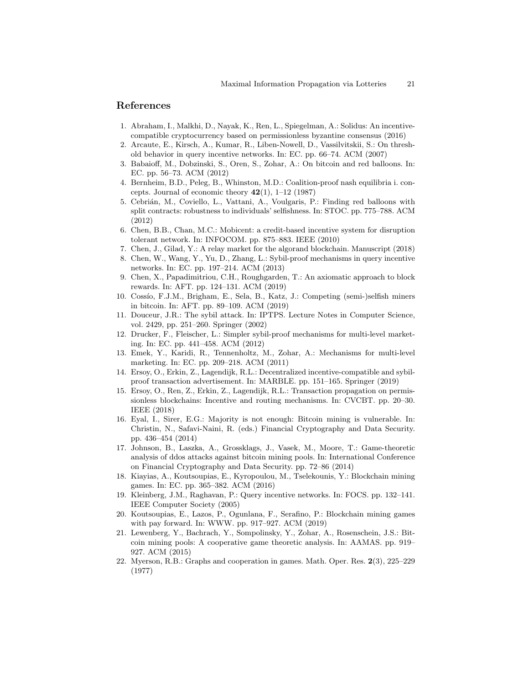## References

- <span id="page-20-8"></span>1. Abraham, I., Malkhi, D., Nayak, K., Ren, L., Spiegelman, A.: Solidus: An incentivecompatible cryptocurrency based on permissionless byzantine consensus (2016)
- <span id="page-20-19"></span>2. Arcaute, E., Kirsch, A., Kumar, R., Liben-Nowell, D., Vassilvitskii, S.: On threshold behavior in query incentive networks. In: EC. pp. 66–74. ACM (2007)
- <span id="page-20-1"></span>3. Babaioff, M., Dobzinski, S., Oren, S., Zohar, A.: On bitcoin and red balloons. In: EC. pp. 56–73. ACM (2012)
- <span id="page-20-4"></span>4. Bernheim, B.D., Peleg, B., Whinston, M.D.: Coalition-proof nash equilibria i. concepts. Journal of economic theory  $42(1)$ , 1–12 (1987)
- <span id="page-20-20"></span>5. Cebrián, M., Coviello, L., Vattani, A., Voulgaris, P.: Finding red balloons with split contracts: robustness to individuals' selfishness. In: STOC. pp. 775–788. ACM (2012)
- <span id="page-20-3"></span>6. Chen, B.B., Chan, M.C.: Mobicent: a credit-based incentive system for disruption tolerant network. In: INFOCOM. pp. 875–883. IEEE (2010)
- <span id="page-20-9"></span>7. Chen, J., Gilad, Y.: A relay market for the algorand blockchain. Manuscript (2018)
- <span id="page-20-21"></span>8. Chen, W., Wang, Y., Yu, D., Zhang, L.: Sybil-proof mechanisms in query incentive networks. In: EC. pp. 197–214. ACM (2013)
- <span id="page-20-10"></span>9. Chen, X., Papadimitriou, C.H., Roughgarden, T.: An axiomatic approach to block rewards. In: AFT. pp. 124–131. ACM (2019)
- <span id="page-20-14"></span>10. Cossio, F.J.M., Brigham, E., Sela, B., Katz, J.: Competing (semi-)selfish miners in bitcoin. In: AFT. pp. 89–109. ACM (2019)
- <span id="page-20-6"></span>11. Douceur, J.R.: The sybil attack. In: IPTPS. Lecture Notes in Computer Science, vol. 2429, pp. 251–260. Springer (2002)
- <span id="page-20-0"></span>12. Drucker, F., Fleischer, L.: Simpler sybil-proof mechanisms for multi-level marketing. In: EC. pp. 441–458. ACM (2012)
- <span id="page-20-17"></span>13. Emek, Y., Karidi, R., Tennenholtz, M., Zohar, A.: Mechanisms for multi-level marketing. In: EC. pp. 209–218. ACM (2011)
- <span id="page-20-2"></span>14. Ersoy, O., Erkin, Z., Lagendijk, R.L.: Decentralized incentive-compatible and sybilproof transaction advertisement. In: MARBLE. pp. 151–165. Springer (2019)
- <span id="page-20-7"></span>15. Ersoy, O., Ren, Z., Erkin, Z., Lagendijk, R.L.: Transaction propagation on permissionless blockchains: Incentive and routing mechanisms. In: CVCBT. pp. 20–30. IEEE (2018)
- <span id="page-20-11"></span>16. Eyal, I., Sirer, E.G.: Majority is not enough: Bitcoin mining is vulnerable. In: Christin, N., Safavi-Naini, R. (eds.) Financial Cryptography and Data Security. pp. 436–454 (2014)
- <span id="page-20-15"></span>17. Johnson, B., Laszka, A., Grossklags, J., Vasek, M., Moore, T.: Game-theoretic analysis of ddos attacks against bitcoin mining pools. In: International Conference on Financial Cryptography and Data Security. pp. 72–86 (2014)
- <span id="page-20-12"></span>18. Kiayias, A., Koutsoupias, E., Kyropoulou, M., Tselekounis, Y.: Blockchain mining games. In: EC. pp. 365–382. ACM (2016)
- <span id="page-20-18"></span>19. Kleinberg, J.M., Raghavan, P.: Query incentive networks. In: FOCS. pp. 132–141. IEEE Computer Society (2005)
- <span id="page-20-13"></span>20. Koutsoupias, E., Lazos, P., Ogunlana, F., Serafino, P.: Blockchain mining games with pay forward. In: WWW. pp. 917–927. ACM (2019)
- <span id="page-20-16"></span>21. Lewenberg, Y., Bachrach, Y., Sompolinsky, Y., Zohar, A., Rosenschein, J.S.: Bitcoin mining pools: A cooperative game theoretic analysis. In: AAMAS. pp. 919– 927. ACM (2015)
- <span id="page-20-5"></span>22. Myerson, R.B.: Graphs and cooperation in games. Math. Oper. Res. 2(3), 225–229 (1977)